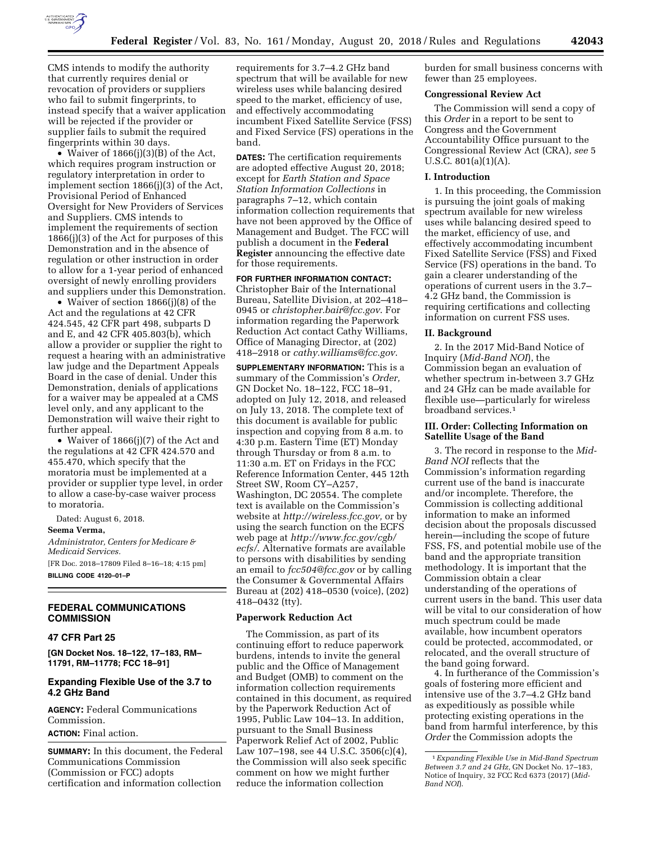

revocation of providers or suppliers who fail to submit fingerprints, to instead specify that a waiver application will be rejected if the provider or supplier fails to submit the required fingerprints within 30 days.

• Waiver of 1866(j)(3)(B) of the Act, which requires program instruction or regulatory interpretation in order to implement section 1866(j)(3) of the Act, Provisional Period of Enhanced Oversight for New Providers of Services and Suppliers. CMS intends to implement the requirements of section 1866(j)(3) of the Act for purposes of this Demonstration and in the absence of regulation or other instruction in order to allow for a 1-year period of enhanced oversight of newly enrolling providers and suppliers under this Demonstration.

• Waiver of section 1866(j)(8) of the Act and the regulations at 42 CFR 424.545, 42 CFR part 498, subparts D and E, and 42 CFR 405.803(b), which allow a provider or supplier the right to request a hearing with an administrative law judge and the Department Appeals Board in the case of denial. Under this Demonstration, denials of applications for a waiver may be appealed at a CMS level only, and any applicant to the Demonstration will waive their right to further appeal.

• Waiver of 1866(j)(7) of the Act and the regulations at 42 CFR 424.570 and 455.470, which specify that the moratoria must be implemented at a provider or supplier type level, in order to allow a case-by-case waiver process to moratoria.

Dated: August 6, 2018.

**Seema Verma,** 

*Administrator, Centers for Medicare & Medicaid Services.*  [FR Doc. 2018–17809 Filed 8–16–18; 4:15 pm] **BILLING CODE 4120–01–P** 

# **FEDERAL COMMUNICATIONS COMMISSION**

## **47 CFR Part 25**

**[GN Docket Nos. 18–122, 17–183, RM– 11791, RM–11778; FCC 18–91]** 

## **Expanding Flexible Use of the 3.7 to 4.2 GHz Band**

**AGENCY:** Federal Communications Commission.

# **ACTION:** Final action.

**SUMMARY:** In this document, the Federal Communications Commission (Commission or FCC) adopts certification and information collection

requirements for 3.7–4.2 GHz band spectrum that will be available for new wireless uses while balancing desired speed to the market, efficiency of use, and effectively accommodating incumbent Fixed Satellite Service (FSS) and Fixed Service (FS) operations in the band.

**DATES:** The certification requirements are adopted effective August 20, 2018; except for *Earth Station and Space Station Information Collections* in paragraphs 7–12, which contain information collection requirements that have not been approved by the Office of Management and Budget. The FCC will publish a document in the **Federal Register** announcing the effective date for those requirements.

#### **FOR FURTHER INFORMATION CONTACT:**  Christopher Bair of the International

Bureau, Satellite Division, at 202–418– 0945 or *[christopher.bair@fcc.gov](mailto:christopher.bair@fcc.gov)*. For information regarding the Paperwork Reduction Act contact Cathy Williams, Office of Managing Director, at (202) 418–2918 or *[cathy.williams@fcc.gov](mailto:cathy.williams@fcc.gov)*.

**SUPPLEMENTARY INFORMATION:** This is a summary of the Commission's *Order,*  GN Docket No. 18–122, FCC 18–91, adopted on July 12, 2018, and released on July 13, 2018. The complete text of this document is available for public inspection and copying from 8 a.m. to 4:30 p.m. Eastern Time (ET) Monday through Thursday or from 8 a.m. to 11:30 a.m. ET on Fridays in the FCC Reference Information Center, 445 12th Street SW, Room CY–A257, Washington, DC 20554. The complete text is available on the Commission's website at *[http://wireless.fcc.gov,](http://wireless.fcc.gov)* or by using the search function on the ECFS web page at *[http://www.fcc.gov/cgb/](http://www.fcc.gov/cgb/ecfs/) [ecfs/](http://www.fcc.gov/cgb/ecfs/)*. Alternative formats are available to persons with disabilities by sending an email to *[fcc504@fcc.gov](mailto:fcc504@fcc.gov)* or by calling the Consumer & Governmental Affairs Bureau at (202) 418–0530 (voice), (202) 418–0432 (tty).

## **Paperwork Reduction Act**

The Commission, as part of its continuing effort to reduce paperwork burdens, intends to invite the general public and the Office of Management and Budget (OMB) to comment on the information collection requirements contained in this document, as required by the Paperwork Reduction Act of 1995, Public Law 104–13. In addition, pursuant to the Small Business Paperwork Relief Act of 2002, Public Law 107–198, see 44 U.S.C. 3506(c)(4), the Commission will also seek specific comment on how we might further reduce the information collection

burden for small business concerns with fewer than 25 employees.

#### **Congressional Review Act**

The Commission will send a copy of this *Order* in a report to be sent to Congress and the Government Accountability Office pursuant to the Congressional Review Act (CRA), *see* 5 U.S.C.  $801(a)(1)(A)$ .

## **I. Introduction**

1. In this proceeding, the Commission is pursuing the joint goals of making spectrum available for new wireless uses while balancing desired speed to the market, efficiency of use, and effectively accommodating incumbent Fixed Satellite Service (FSS) and Fixed Service (FS) operations in the band. To gain a clearer understanding of the operations of current users in the 3.7– 4.2 GHz band, the Commission is requiring certifications and collecting information on current FSS uses.

### **II. Background**

2. In the 2017 Mid-Band Notice of Inquiry (*Mid-Band NOI*), the Commission began an evaluation of whether spectrum in-between 3.7 GHz and 24 GHz can be made available for flexible use—particularly for wireless broadband services.1

## **III. Order: Collecting Information on Satellite Usage of the Band**

3. The record in response to the *Mid-Band NOI* reflects that the Commission's information regarding current use of the band is inaccurate and/or incomplete. Therefore, the Commission is collecting additional information to make an informed decision about the proposals discussed herein—including the scope of future FSS, FS, and potential mobile use of the band and the appropriate transition methodology. It is important that the Commission obtain a clear understanding of the operations of current users in the band. This user data will be vital to our consideration of how much spectrum could be made available, how incumbent operators could be protected, accommodated, or relocated, and the overall structure of the band going forward.

4. In furtherance of the Commission's goals of fostering more efficient and intensive use of the 3.7–4.2 GHz band as expeditiously as possible while protecting existing operations in the band from harmful interference, by this *Order* the Commission adopts the

<sup>1</sup>*Expanding Flexible Use in Mid-Band Spectrum Between 3.7 and 24 GHz,* GN Docket No. 17–183, Notice of Inquiry, 32 FCC Rcd 6373 (2017) (*Mid-Band NOI*).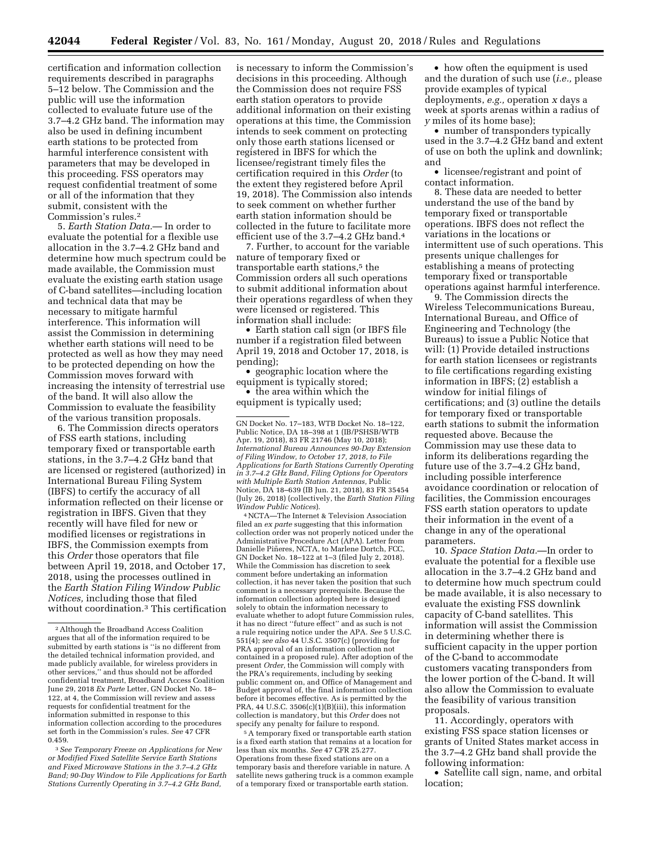certification and information collection requirements described in paragraphs 5–12 below. The Commission and the public will use the information collected to evaluate future use of the 3.7–4.2 GHz band. The information may also be used in defining incumbent earth stations to be protected from harmful interference consistent with parameters that may be developed in this proceeding. FSS operators may request confidential treatment of some or all of the information that they submit, consistent with the Commission's rules.2

5. *Earth Station Data.*— In order to evaluate the potential for a flexible use allocation in the 3.7–4.2 GHz band and determine how much spectrum could be made available, the Commission must evaluate the existing earth station usage of C-band satellites—including location and technical data that may be necessary to mitigate harmful interference. This information will assist the Commission in determining whether earth stations will need to be protected as well as how they may need to be protected depending on how the Commission moves forward with increasing the intensity of terrestrial use of the band. It will also allow the Commission to evaluate the feasibility of the various transition proposals.

6. The Commission directs operators of FSS earth stations, including temporary fixed or transportable earth stations, in the 3.7–4.2 GHz band that are licensed or registered (authorized) in International Bureau Filing System (IBFS) to certify the accuracy of all information reflected on their license or registration in IBFS. Given that they recently will have filed for new or modified licenses or registrations in IBFS, the Commission exempts from this *Order* those operators that file between April 19, 2018, and October 17, 2018, using the processes outlined in the *Earth Station Filing Window Public Notices,* including those that filed without coordination.3 This certification is necessary to inform the Commission's decisions in this proceeding. Although the Commission does not require FSS earth station operators to provide additional information on their existing operations at this time, the Commission intends to seek comment on protecting only those earth stations licensed or registered in IBFS for which the licensee/registrant timely files the certification required in this *Order* (to the extent they registered before April 19, 2018). The Commission also intends to seek comment on whether further earth station information should be collected in the future to facilitate more efficient use of the 3.7–4.2 GHz band.4

7. Further, to account for the variable nature of temporary fixed or transportable earth stations,<sup>5</sup> the Commission orders all such operations to submit additional information about their operations regardless of when they were licensed or registered. This information shall include:

• Earth station call sign (or IBFS file number if a registration filed between April 19, 2018 and October 17, 2018, is pending);

• geographic location where the equipment is typically stored;

• the area within which the equipment is typically used;

4NCTA—The Internet & Television Association filed an *ex parte* suggesting that this information collection order was not properly noticed under the Administrative Procedure Act (APA). Letter from Danielle Piñeres, NCTA, to Marlene Dortch, FCC, GN Docket No. 18–122 at 1–3 (filed July 2, 2018). While the Commission has discretion to seek comment before undertaking an information collection, it has never taken the position that such comment is a necessary prerequisite. Because the information collection adopted here is designed solely to obtain the information necessary to evaluate whether to adopt future Commission rules, it has no direct ''future effect'' and as such is not a rule requiring notice under the APA. *See* 5 U.S.C. 551(4); *see also* 44 U.S.C. 3507(c) (providing for PRA approval of an information collection not contained in a proposed rule). After adoption of the present *Order,* the Commission will comply with the PRA's requirements, including by seeking public comment on, and Office of Management and Budget approval of, the final information collection before it becomes effective. As is permitted by the PRA, 44 U.S.C. 3506(c)(1)(B)(iii), this information collection is mandatory, but this *Order* does not specify any penalty for failure to respond.

5A temporary fixed or transportable earth station is a fixed earth station that remains at a location for less than six months. *See* 47 CFR 25.277. Operations from these fixed stations are on a temporary basis and therefore variable in nature. A satellite news gathering truck is a common example of a temporary fixed or transportable earth station.

• how often the equipment is used and the duration of such use (*i.e.,* please provide examples of typical deployments, *e.g.,* operation *x* days a week at sports arenas within a radius of *y* miles of its home base);

• number of transponders typically used in the 3.7–4.2 GHz band and extent of use on both the uplink and downlink; and

• licensee/registrant and point of contact information.

8. These data are needed to better understand the use of the band by temporary fixed or transportable operations. IBFS does not reflect the variations in the locations or intermittent use of such operations. This presents unique challenges for establishing a means of protecting temporary fixed or transportable operations against harmful interference.

9. The Commission directs the Wireless Telecommunications Bureau, International Bureau, and Office of Engineering and Technology (the Bureaus) to issue a Public Notice that will: (1) Provide detailed instructions for earth station licensees or registrants to file certifications regarding existing information in IBFS; (2) establish a window for initial filings of certifications; and (3) outline the details for temporary fixed or transportable earth stations to submit the information requested above. Because the Commission may use these data to inform its deliberations regarding the future use of the 3.7–4.2 GHz band, including possible interference avoidance coordination or relocation of facilities, the Commission encourages FSS earth station operators to update their information in the event of a change in any of the operational parameters.

10. *Space Station Data.*—In order to evaluate the potential for a flexible use allocation in the 3.7–4.2 GHz band and to determine how much spectrum could be made available, it is also necessary to evaluate the existing FSS downlink capacity of C-band satellites. This information will assist the Commission in determining whether there is sufficient capacity in the upper portion of the C-band to accommodate customers vacating transponders from the lower portion of the C-band. It will also allow the Commission to evaluate the feasibility of various transition proposals.

11. Accordingly, operators with existing FSS space station licenses or grants of United States market access in the 3.7–4.2 GHz band shall provide the following information:

• Satellite call sign, name, and orbital location;

<sup>2</sup>Although the Broadband Access Coalition argues that all of the information required to be submitted by earth stations is ''is no different from the detailed technical information provided, and made publicly available, for wireless providers in other services,'' and thus should not be afforded confidential treatment, Broadband Access Coalition June 29, 2018 *Ex Parte* Letter, GN Docket No. 18– 122, at 4, the Commission will review and assess requests for confidential treatment for the information submitted in response to this information collection according to the procedures set forth in the Commission's rules. *See* 47 CFR 0.459.

<sup>3</sup>*See Temporary Freeze on Applications for New or Modified Fixed Satellite Service Earth Stations and Fixed Microwave Stations in the 3.7–4.2 GHz Band; 90-Day Window to File Applications for Earth Stations Currently Operating in 3.7–4.2 GHz Band,* 

GN Docket No. 17–183, WTB Docket No. 18–122, Public Notice, DA 18–398 at 1 (IB/PSHSB/WTB Apr. 19, 2018), 83 FR 21746 (May 10, 2018); *International Bureau Announces 90-Day Extension of Filing Window, to October 17, 2018, to File Applications for Earth Stations Currently Operating in 3.7–4.2 GHz Band, Filing Options for Operators with Multiple Earth Station Antennas,* Public Notice, DA 18–639 (IB Jun. 21, 2018), 83 FR 35454 (July 26, 2018) (collectively, the *Earth Station Filing Window Public Notices*).